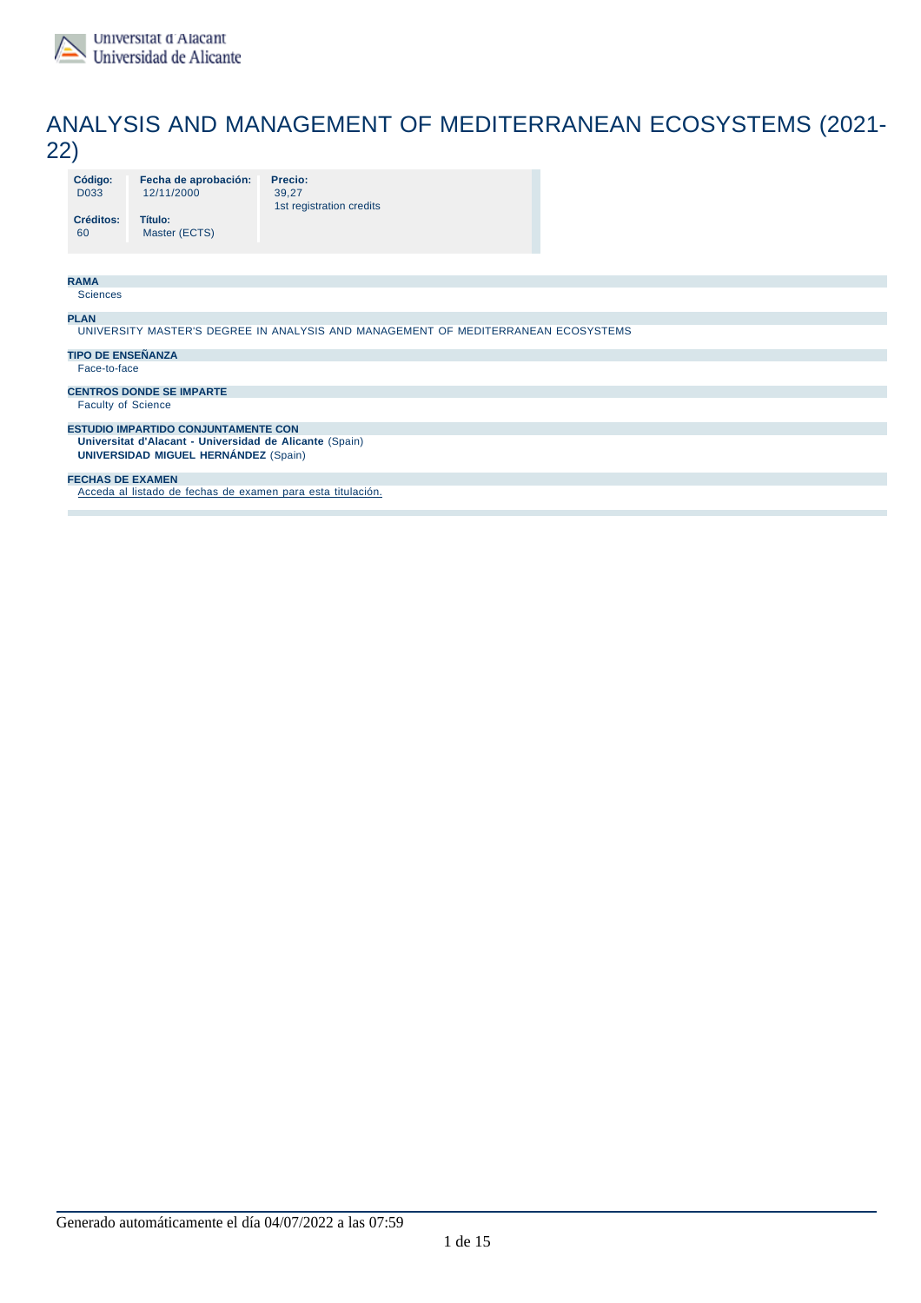

# ANALYSIS AND MANAGEMENT OF MEDITERRANEAN ECOSYSTEMS (2021- 22)

| 60          | Código:<br>D033<br><b>Créditos:</b> | Fecha de aprobación:<br>12/11/2000<br>Título:<br>Master (ECTS) | Precio:<br>39,27<br>1st registration credits |
|-------------|-------------------------------------|----------------------------------------------------------------|----------------------------------------------|
|             |                                     |                                                                |                                              |
| <b>RAMA</b> | __                                  |                                                                |                                              |

| RAMA                                                                              |
|-----------------------------------------------------------------------------------|
| <b>Sciences</b>                                                                   |
| <b>PLAN</b>                                                                       |
| UNIVERSITY MASTER'S DEGREE IN ANALYSIS AND MANAGEMENT OF MEDITERRANEAN ECOSYSTEMS |
| <b>TIPO DE ENSEÑANZA</b>                                                          |
| Face-to-face                                                                      |
| <b>CENTROS DONDE SE IMPARTE</b>                                                   |
| <b>Faculty of Science</b>                                                         |
| <b>ESTUDIO IMPARTIDO CONJUNTAMENTE CON</b>                                        |
| Universitat d'Alacant - Universidad de Alicante (Spain)                           |
| <b>UNIVERSIDAD MIGUEL HERNÁNDEZ (Spain)</b>                                       |
| <b>FECHAS DE EXAMEN</b>                                                           |
| Acceda al listado de fechas de examen para esta titulación.                       |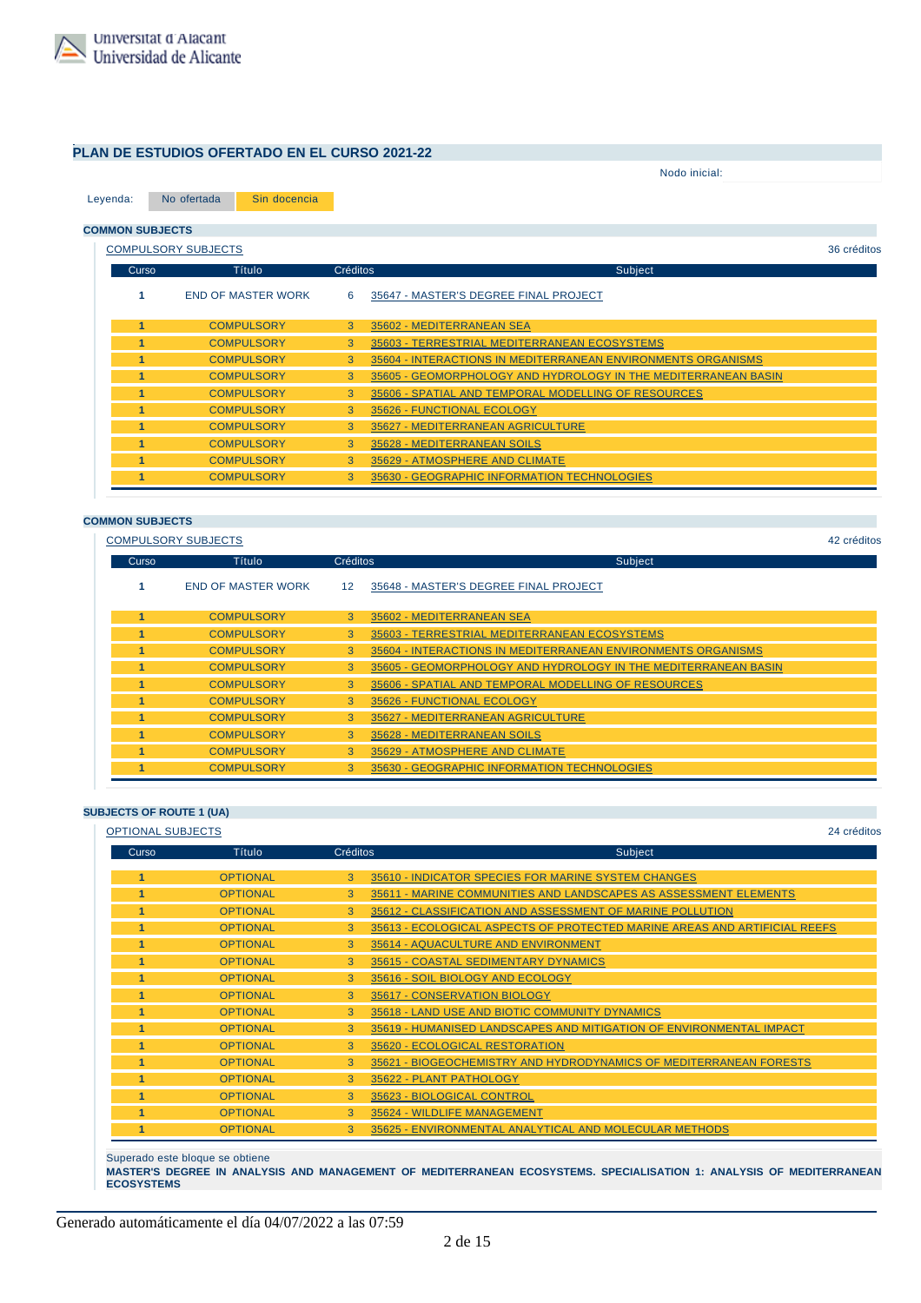

# **PLAN DE ESTUDIOS OFERTADO EN EL CURSO 2021-22**

Nodo inicial: Seleccione el nodo inicial **▼** 

| Leyenda: | No ofertada | Sin docencia |
|----------|-------------|--------------|
|----------|-------------|--------------|

|       | <b>COMPULSORY SUBJECTS</b> |                 |                                                                | 36 créditos |
|-------|----------------------------|-----------------|----------------------------------------------------------------|-------------|
| Curso | Título                     | <b>Créditos</b> | Subject                                                        |             |
|       | <b>END OF MASTER WORK</b>  | 6               | 35647 - MASTER'S DEGREE FINAL PROJECT                          |             |
|       | <b>COMPULSORY</b>          | $\mathbf{3}$    | 35602 - MEDITERRANEAN SEA                                      |             |
|       | <b>COMPULSORY</b>          | 3               | 35603 - TERRESTRIAL MEDITERRANEAN ECOSYSTEMS                   |             |
|       | <b>COMPULSORY</b>          | 3               | 35604 - INTERACTIONS IN MEDITERRANEAN ENVIRONMENTS ORGANISMS   |             |
|       | <b>COMPULSORY</b>          | 3               | 35605 - GEOMORPHOLOGY AND HYDROLOGY IN THE MEDITERRANEAN BASIN |             |
|       | <b>COMPULSORY</b>          | $\mathbf{R}$    | 35606 - SPATIAL AND TEMPORAL MODELLING OF RESOURCES            |             |
|       | <b>COMPULSORY</b>          | $\mathbf{R}$    | 35626 - FUNCTIONAL ECOLOGY                                     |             |
|       | <b>COMPULSORY</b>          | 3               | 35627 - MEDITERRANEAN AGRICULTURE                              |             |
|       | <b>COMPULSORY</b>          | 3               | 35628 - MEDITERRANEAN SOILS                                    |             |
|       | <b>COMPULSORY</b>          | $\mathcal{R}$   | 35629 - ATMOSPHERE AND CLIMATE                                 |             |
|       | <b>COMPULSORY</b>          | 3               | 35630 - GEOGRAPHIC INFORMATION TECHNOLOGIES                    |             |

#### **COMMON SUBJECTS**

#### [COMPULSORY SUBJECTS](javascript:MuestraBloque("bloque41COMPULSORY SUBJECTS");)

|       | COMPULSORY SUBJECTS       |                 |                                                                | 42 créditos |
|-------|---------------------------|-----------------|----------------------------------------------------------------|-------------|
| Curso | Título                    | <b>Créditos</b> | <b>Subject</b>                                                 |             |
|       | <b>END OF MASTER WORK</b> | 12 <sup>1</sup> | 35648 - MASTER'S DEGREE FINAL PROJECT                          |             |
|       | <b>COMPULSORY</b>         | 3               | 35602 - MEDITERRANEAN SEA                                      |             |
|       | <b>COMPULSORY</b>         | 3               | 35603 - TERRESTRIAL MEDITERRANEAN ECOSYSTEMS                   |             |
|       | <b>COMPULSORY</b>         | 3               | 35604 - INTERACTIONS IN MEDITERRANEAN ENVIRONMENTS ORGANISMS   |             |
|       | <b>COMPULSORY</b>         | 3               | 35605 - GEOMORPHOLOGY AND HYDROLOGY IN THE MEDITERRANEAN BASIN |             |
|       | <b>COMPULSORY</b>         | 3               | 35606 - SPATIAL AND TEMPORAL MODELLING OF RESOURCES            |             |
|       | <b>COMPULSORY</b>         | 3               | 35626 - FUNCTIONAL ECOLOGY                                     |             |
|       | <b>COMPULSORY</b>         | 3               | 35627 - MEDITERRANEAN AGRICULTURE                              |             |
|       | <b>COMPULSORY</b>         | 3               | 35628 - MEDITERRANEAN SOILS                                    |             |
|       | <b>COMPULSORY</b>         | 3               | 35629 - ATMOSPHERE AND CLIMATE                                 |             |
|       | <b>COMPULSORY</b>         | 3               | 35630 - GEOGRAPHIC INFORMATION TECHNOLOGIES                    |             |

#### **SUBJECTS OF ROUTE 1 (UA)**

# **[OPTIONAL SUBJECTS](javascript:MuestraBloque("bloque21OPTIONAL SUBJECTS");)**

24 créditos

| Curso | Título          | Créditos | Subject                                                                   |
|-------|-----------------|----------|---------------------------------------------------------------------------|
| 4     | <b>OPTIONAL</b> | 3        | 35610 - INDICATOR SPECIES FOR MARINE SYSTEM CHANGES                       |
|       | <b>OPTIONAL</b> | 3        | 35611 - MARINE COMMUNITIES AND LANDSCAPES AS ASSESSMENT ELEMENTS          |
|       | <b>OPTIONAL</b> | 3        | 35612 - CLASSIFICATION AND ASSESSMENT OF MARINE POLLUTION                 |
|       | <b>OPTIONAL</b> | 3        | 35613 - ECOLOGICAL ASPECTS OF PROTECTED MARINE AREAS AND ARTIFICIAL REEFS |
|       | <b>OPTIONAL</b> | 3        | 35614 - AQUACULTURE AND ENVIRONMENT                                       |
|       | <b>OPTIONAL</b> | 3        | 35615 - COASTAL SEDIMENTARY DYNAMICS                                      |
|       | <b>OPTIONAL</b> | 3        | 35616 - SOIL BIOLOGY AND ECOLOGY                                          |
|       | <b>OPTIONAL</b> | 3        | 35617 - CONSERVATION BIOLOGY                                              |
|       | <b>OPTIONAL</b> | 3        | 35618 - LAND USE AND BIOTIC COMMUNITY DYNAMICS                            |
|       | <b>OPTIONAL</b> | 3        | 35619 - HUMANISED LANDSCAPES AND MITIGATION OF ENVIRONMENTAL IMPACT       |
|       | <b>OPTIONAL</b> | 3        | 35620 - ECOLOGICAL RESTORATION                                            |
|       | <b>OPTIONAL</b> | 3        | 35621 - BIOGEOCHEMISTRY AND HYDRODYNAMICS OF MEDITERRANEAN FORESTS        |
|       | <b>OPTIONAL</b> | 3        | 35622 - PLANT PATHOLOGY                                                   |
|       | <b>OPTIONAL</b> | 3        | 35623 - BIOLOGICAL CONTROL                                                |
|       | <b>OPTIONAL</b> | 3        | 35624 - WILDLIFE MANAGEMENT                                               |
|       | <b>OPTIONAL</b> | 3        | 35625 - ENVIRONMENTAL ANALYTICAL AND MOLECULAR METHODS                    |
|       |                 |          |                                                                           |

Superado este bloque se obtiene

**MASTER'S DEGREE IN ANALYSIS AND MANAGEMENT OF MEDITERRANEAN ECOSYSTEMS. SPECIALISATION 1: ANALYSIS OF MEDITERRANEAN ECOSYSTEMS**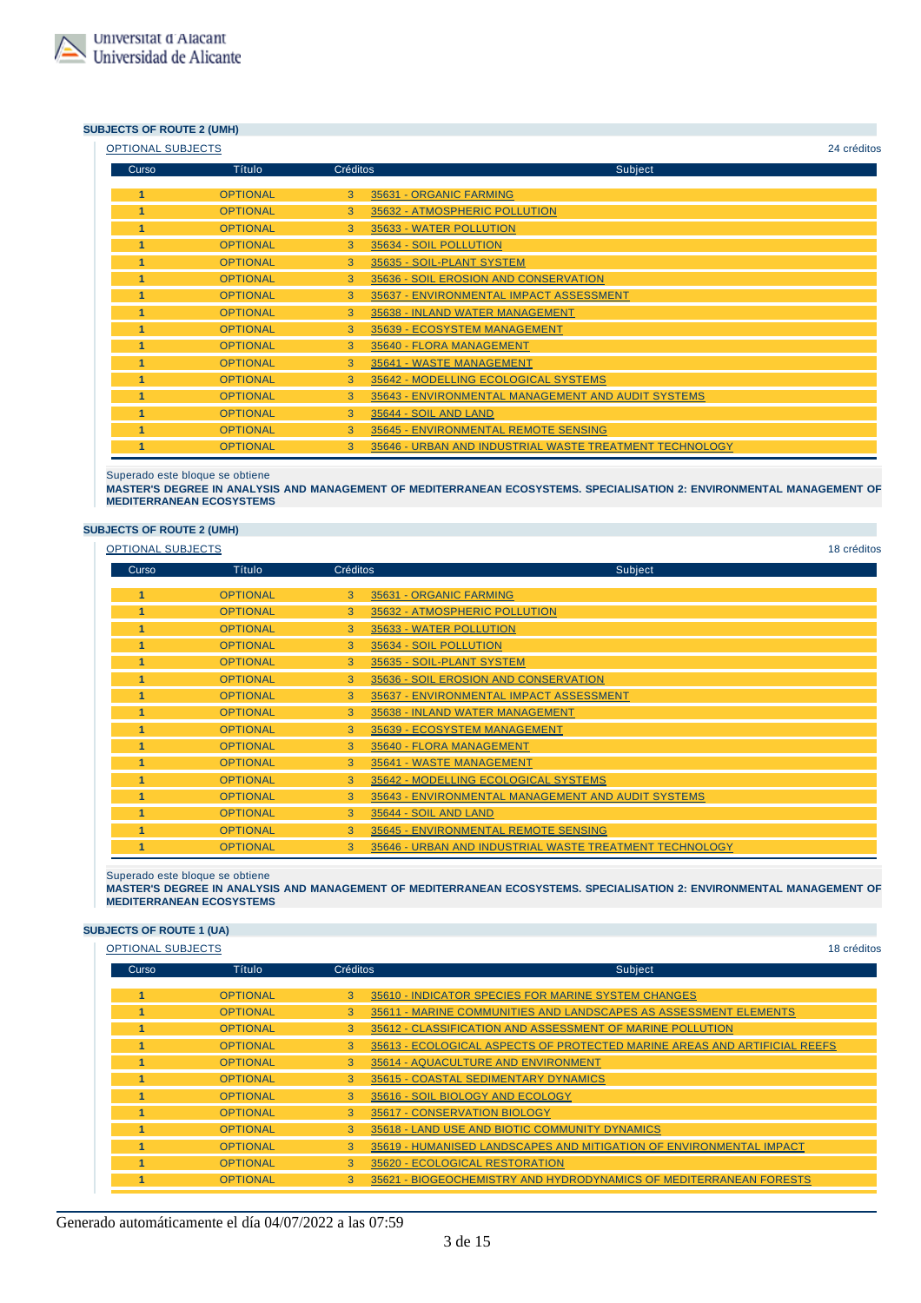

# **SUBJECTS OF ROUTE 2 (UMH)**

| <b>OPTIONAL SUBJECTS</b> |                 |                 | 24 créditos                                             |
|--------------------------|-----------------|-----------------|---------------------------------------------------------|
| Curso                    | Título          | <b>Créditos</b> | Subject                                                 |
| 1                        | <b>OPTIONAL</b> | 3               | 35631 - ORGANIC FARMING                                 |
|                          | <b>OPTIONAL</b> | 3               | 35632 - ATMOSPHERIC POLLUTION                           |
|                          | <b>OPTIONAL</b> | 3               | 35633 - WATER POLLUTION                                 |
|                          | <b>OPTIONAL</b> | 3               | 35634 - SOIL POLLUTION                                  |
|                          | <b>OPTIONAL</b> | 3               | 35635 - SOIL-PLANT SYSTEM                               |
|                          | <b>OPTIONAL</b> | 3               | 35636 - SOIL EROSION AND CONSERVATION                   |
|                          | <b>OPTIONAL</b> | 3               | 35637 - ENVIRONMENTAL IMPACT ASSESSMENT                 |
|                          | <b>OPTIONAL</b> | 3               | 35638 - INLAND WATER MANAGEMENT                         |
|                          | <b>OPTIONAL</b> | 3               | 35639 - ECOSYSTEM MANAGEMENT                            |
|                          | <b>OPTIONAL</b> | 3               | 35640 - FLORA MANAGEMENT                                |
|                          | <b>OPTIONAL</b> | 3               | 35641 - WASTE MANAGEMENT                                |
|                          | <b>OPTIONAL</b> | 3               | 35642 - MODELLING ECOLOGICAL SYSTEMS                    |
|                          | <b>OPTIONAL</b> | 3               | 35643 - ENVIRONMENTAL MANAGEMENT AND AUDIT SYSTEMS      |
|                          | <b>OPTIONAL</b> | 3               | 35644 - SOIL AND LAND                                   |
|                          | <b>OPTIONAL</b> | 3               | 35645 - ENVIRONMENTAL REMOTE SENSING                    |
|                          | <b>OPTIONAL</b> | 3               | 35646 - URBAN AND INDUSTRIAL WASTE TREATMENT TECHNOLOGY |

Superado este bloque se obtiene

**MASTER'S DEGREE IN ANALYSIS AND MANAGEMENT OF MEDITERRANEAN ECOSYSTEMS. SPECIALISATION 2: ENVIRONMENTAL MANAGEMENT OF MEDITERRANEAN ECOSYSTEMS**

#### **SUBJECTS OF ROUTE 2 (UMH)**

| <b>OPTIONAL SUBJECTS</b> |  |
|--------------------------|--|

| <b>OPTIONAL SUBJECTS</b> |                 |                 |                                                         | 18 créditos |
|--------------------------|-----------------|-----------------|---------------------------------------------------------|-------------|
| Curso                    | Título          | <b>Créditos</b> | Subject                                                 |             |
| 1                        | <b>OPTIONAL</b> | 3               | 35631 - ORGANIC FARMING                                 |             |
| 1                        | <b>OPTIONAL</b> | 3               | 35632 - ATMOSPHERIC POLLUTION                           |             |
| 1                        | <b>OPTIONAL</b> | 3               | 35633 - WATER POLLUTION                                 |             |
| 1                        | <b>OPTIONAL</b> | 3               | 35634 - SOIL POLLUTION                                  |             |
| 1                        | <b>OPTIONAL</b> | 3               | 35635 - SOIL-PLANT SYSTEM                               |             |
| 1                        | <b>OPTIONAL</b> | 3               | 35636 - SOIL EROSION AND CONSERVATION                   |             |
| 1                        | <b>OPTIONAL</b> | 3               | 35637 - ENVIRONMENTAL IMPACT ASSESSMENT                 |             |
| 1                        | <b>OPTIONAL</b> | 3               | 35638 - INLAND WATER MANAGEMENT                         |             |
| 1                        | <b>OPTIONAL</b> | 3               | 35639 - ECOSYSTEM MANAGEMENT                            |             |
| 1                        | <b>OPTIONAL</b> | 3               | 35640 - FLORA MANAGEMENT                                |             |
| 1                        | <b>OPTIONAL</b> | 3               | 35641 - WASTE MANAGEMENT                                |             |
|                          | <b>OPTIONAL</b> | 3               | 35642 - MODELLING ECOLOGICAL SYSTEMS                    |             |
|                          | <b>OPTIONAL</b> | 3               | 35643 - ENVIRONMENTAL MANAGEMENT AND AUDIT SYSTEMS      |             |
|                          | <b>OPTIONAL</b> | 3               | 35644 - SOIL AND LAND                                   |             |
|                          | <b>OPTIONAL</b> | 3               | 35645 - ENVIRONMENTAL REMOTE SENSING                    |             |
|                          | <b>OPTIONAL</b> | 3               | 35646 - URBAN AND INDUSTRIAL WASTE TREATMENT TECHNOLOGY |             |

Superado este bloque se obtiene

**MASTER'S DEGREE IN ANALYSIS AND MANAGEMENT OF MEDITERRANEAN ECOSYSTEMS. SPECIALISATION 2: ENVIRONMENTAL MANAGEMENT OF MEDITERRANEAN ECOSYSTEMS**

### **SUBJECTS OF ROUTE 1 (UA)**

| <b>OPTIONAL SUBJECTS</b> |                 |                 | 18 créditos                                                               |
|--------------------------|-----------------|-----------------|---------------------------------------------------------------------------|
| Curso                    | <b>Título</b>   | <b>Créditos</b> | Subject                                                                   |
|                          | <b>OPTIONAL</b> | 3               | 35610 - INDICATOR SPECIES FOR MARINE SYSTEM CHANGES                       |
|                          | <b>OPTIONAL</b> | 3               | 35611 - MARINE COMMUNITIES AND LANDSCAPES AS ASSESSMENT ELEMENTS          |
|                          | <b>OPTIONAL</b> | 3               | 35612 - CLASSIFICATION AND ASSESSMENT OF MARINE POLLUTION                 |
|                          | <b>OPTIONAL</b> | 3               | 35613 - ECOLOGICAL ASPECTS OF PROTECTED MARINE AREAS AND ARTIFICIAL REEFS |
|                          | <b>OPTIONAL</b> | 3               | 35614 - AQUACULTURE AND ENVIRONMENT                                       |
|                          | <b>OPTIONAL</b> | 3               | 35615 - COASTAL SEDIMENTARY DYNAMICS                                      |
|                          | <b>OPTIONAL</b> | 3               | 35616 - SOIL BIOLOGY AND ECOLOGY                                          |
|                          | <b>OPTIONAL</b> | 3               | 35617 - CONSERVATION BIOLOGY                                              |
|                          | <b>OPTIONAL</b> | 3               | 35618 - LAND USE AND BIOTIC COMMUNITY DYNAMICS                            |
|                          | <b>OPTIONAL</b> | 3               | 35619 - HUMANISED LANDSCAPES AND MITIGATION OF ENVIRONMENTAL IMPACT       |
|                          | <b>OPTIONAL</b> | 3               | 35620 - ECOLOGICAL RESTORATION                                            |
|                          | <b>OPTIONAL</b> | 3               | 35621 - BIOGEOCHEMISTRY AND HYDRODYNAMICS OF MEDITERRANEAN FORESTS        |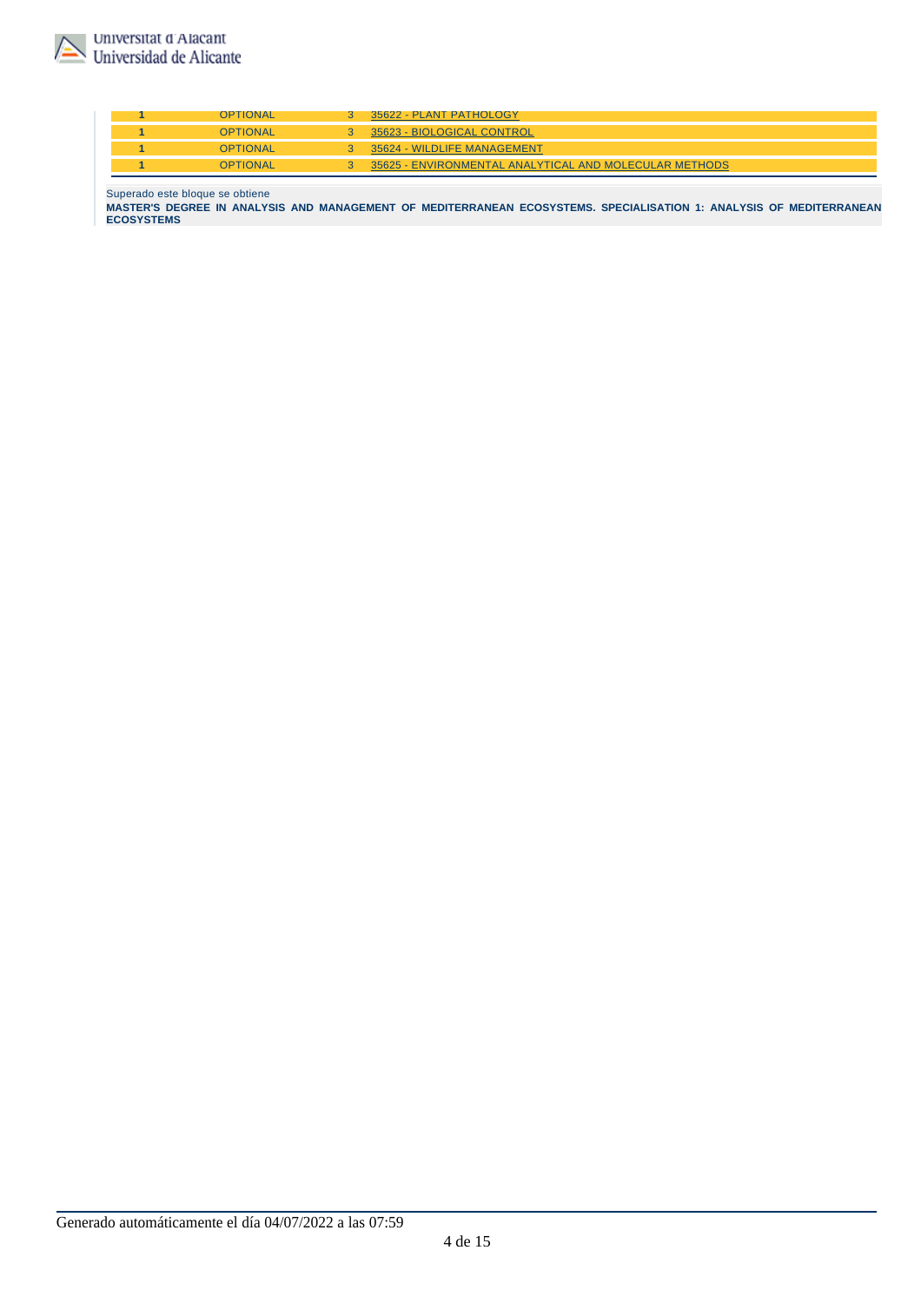

|  | ---------- |
|--|------------|
|  |            |

Superado este bloque se obtiene

**MASTER'S DEGREE IN ANALYSIS AND MANAGEMENT OF MEDITERRANEAN ECOSYSTEMS. SPECIALISATION 1: ANALYSIS OF MEDITERRANEAN ECOSYSTEMS**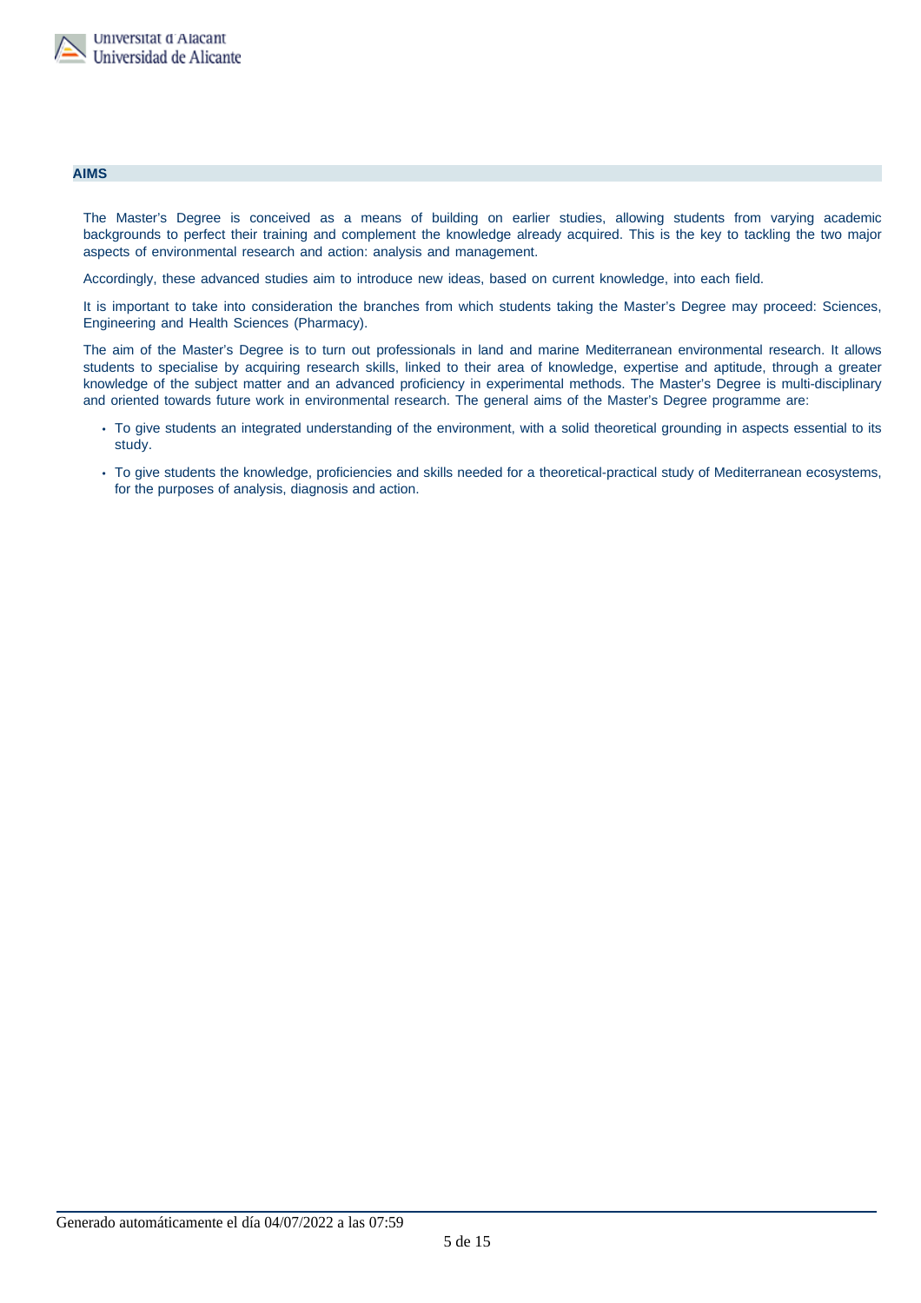

# **AIMS**

The Master's Degree is conceived as a means of building on earlier studies, allowing students from varying academic backgrounds to perfect their training and complement the knowledge already acquired. This is the key to tackling the two major aspects of environmental research and action: analysis and management.

Accordingly, these advanced studies aim to introduce new ideas, based on current knowledge, into each field.

It is important to take into consideration the branches from which students taking the Master's Degree may proceed: Sciences, Engineering and Health Sciences (Pharmacy).

The aim of the Master's Degree is to turn out professionals in land and marine Mediterranean environmental research. It allows students to specialise by acquiring research skills, linked to their area of knowledge, expertise and aptitude, through a greater knowledge of the subject matter and an advanced proficiency in experimental methods. The Master's Degree is multi-disciplinary and oriented towards future work in environmental research. The general aims of the Master's Degree programme are:

- To give students an integrated understanding of the environment, with a solid theoretical grounding in aspects essential to its study.
- To give students the knowledge, proficiencies and skills needed for a theoretical-practical study of Mediterranean ecosystems, for the purposes of analysis, diagnosis and action.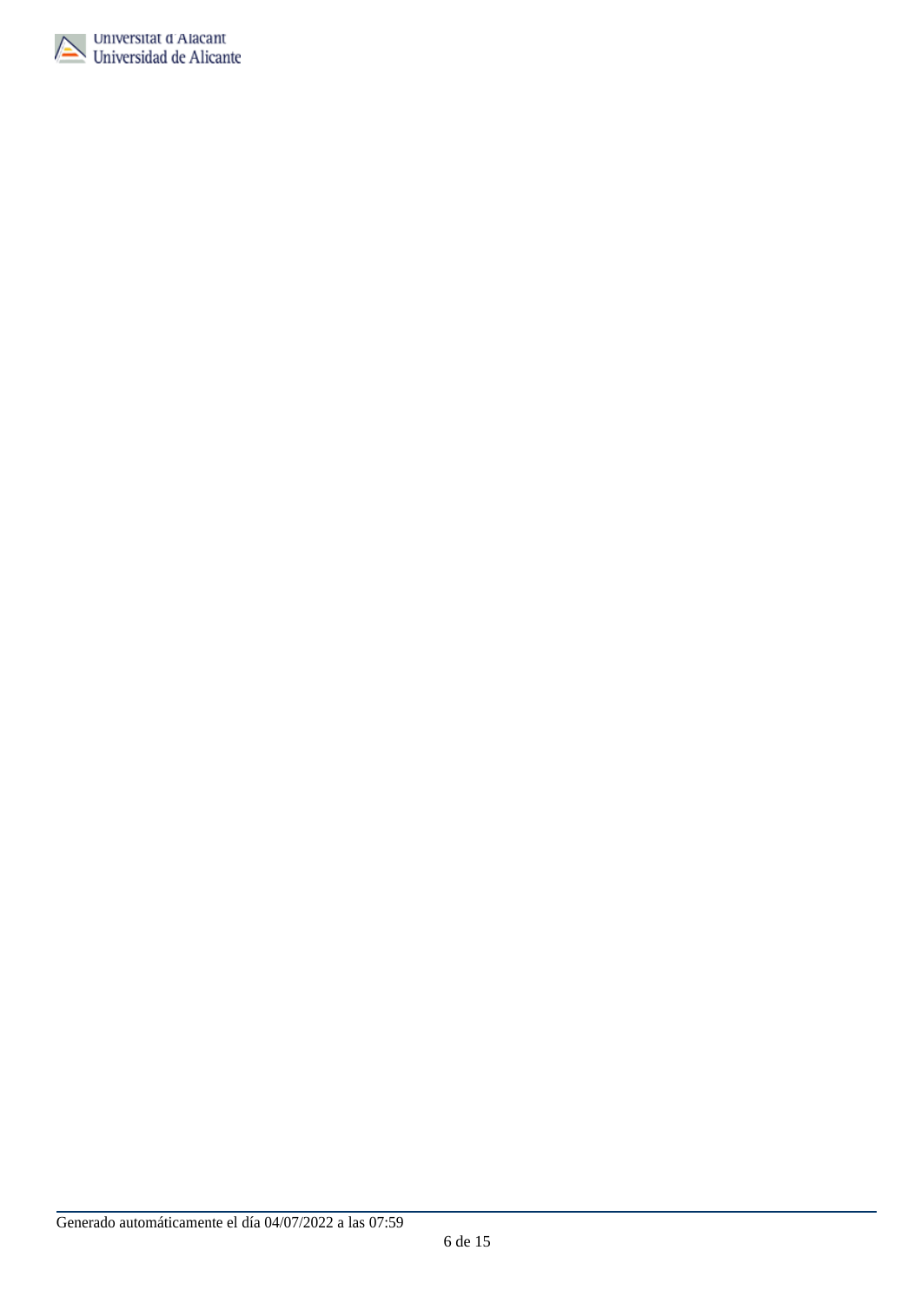

Universitat d'Alacant<br>Universidad de Alicante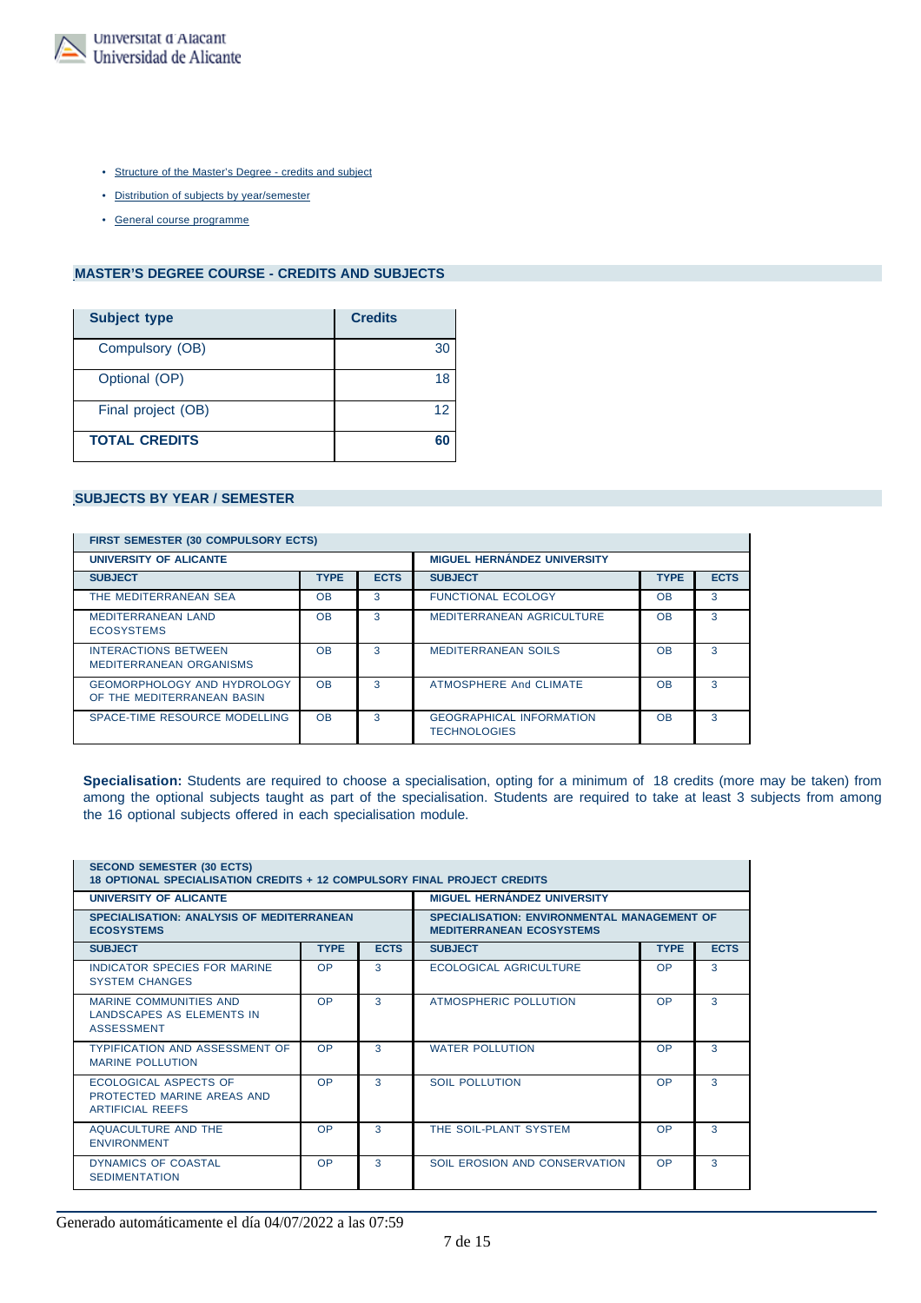

- [Structure of the Master's Degree credits and subject](https://cvnet.cpd.ua.es/webcvnet/PlanEstudio/planestudioPDF.aspx?plan=D033&caca=2021-22&lengua=E#1)
- [Distribution of subjects by year/semester](https://cvnet.cpd.ua.es/webcvnet/PlanEstudio/planestudioPDF.aspx?plan=D033&caca=2021-22&lengua=E#2)
- [General course programme](https://cvnet.cpd.ua.es/webcvnet/PlanEstudio/planestudioPDF.aspx?plan=D033&caca=2021-22&lengua=E#3)

# **MASTER'S DEGREE COURSE - CREDITS AND SUBJECTS**

| <b>Subject type</b>  | <b>Credits</b> |
|----------------------|----------------|
| Compulsory (OB)      | 30             |
| Optional (OP)        | 18             |
| Final project (OB)   | 12             |
| <b>TOTAL CREDITS</b> | 60             |

# **SUBJECTS BY YEAR / SEMESTER**

#### **FIRST SEMESTER (30 COMPULSORY ECTS) UNIVERSITY OF ALICANTE MIGUEL HERNÁNDEZ UNIVERSITY SUBJECT TYPE ECTS SUBJECT TYPE ECTS** THE MEDITERRANEAN SEA OB 3 FUNCTIONAL ECOLOGY OB 3 MEDITERRANEAN LAND ECOSYSTEMS OB 3 MEDITERRANEAN AGRICULTURE OB 3 INTERACTIONS BETWEEN MEDITERRANEAN ORGANISMS OB 3 MEDITERRANEAN SOILS OB 3 GEOMORPHOLOGY AND HYDROLOGY OF THE MEDITERRANEAN BASIN OB 3 ATMOSPHERE And CLIMATE OB 3 SPACE-TIME RESOURCE MODELLING OB 3 GEOGRAPHICAL INFORMATION **TECHNOLOGIES** OB<sub>3</sub>

**Specialisation:** Students are required to choose a specialisation, opting for a minimum of 18 credits (more may be taken) from among the optional subjects taught as part of the specialisation. Students are required to take at least 3 subjects from among the 16 optional subjects offered in each specialisation module.

| <b>SECOND SEMESTER (30 ECTS)</b><br>18 OPTIONAL SPECIALISATION CREDITS + 12 COMPULSORY FINAL PROJECT CREDITS |             |             |                                                                                       |             |             |
|--------------------------------------------------------------------------------------------------------------|-------------|-------------|---------------------------------------------------------------------------------------|-------------|-------------|
| <b>UNIVERSITY OF ALICANTE</b>                                                                                |             |             | <b>MIGUEL HERNÁNDEZ UNIVERSITY</b>                                                    |             |             |
| <b>SPECIALISATION: ANALYSIS OF MEDITERRANEAN</b><br><b>ECOSYSTEMS</b>                                        |             |             | <b>SPECIALISATION: ENVIRONMENTAL MANAGEMENT OF</b><br><b>MEDITERRANEAN ECOSYSTEMS</b> |             |             |
| <b>SUBJECT</b>                                                                                               | <b>TYPE</b> | <b>ECTS</b> | <b>SUBJECT</b>                                                                        | <b>TYPE</b> | <b>ECTS</b> |
| <b>INDICATOR SPECIES FOR MARINE</b><br><b>SYSTEM CHANGES</b>                                                 | OP          | 3           | ECOLOGICAL AGRICULTURE                                                                | <b>OP</b>   | 3           |
| <b>MARINE COMMUNITIES AND</b><br><b>LANDSCAPES AS ELEMENTS IN</b><br><b>ASSESSMENT</b>                       | OP          | 3           | ATMOSPHERIC POLLUTION                                                                 | <b>OP</b>   | 3           |
| <b>TYPIFICATION AND ASSESSMENT OF</b><br><b>MARINE POLLUTION</b>                                             | OP          | 3           | <b>WATER POLLUTION</b>                                                                | <b>OP</b>   | 3           |
| ECOLOGICAL ASPECTS OF<br>PROTECTED MARINE AREAS AND<br><b>ARTIFICIAL REEFS</b>                               | OP          | 3           | SOIL POLLUTION                                                                        | OP          | 3           |
| AQUACULTURE AND THE<br><b>ENVIRONMENT</b>                                                                    | OP          | 3           | THE SOIL-PLANT SYSTEM                                                                 | OP          | 3           |
| DYNAMICS OF COASTAL<br><b>SEDIMENTATION</b>                                                                  | OP          | 3           | SOIL EROSION AND CONSERVATION                                                         | OP          | 3           |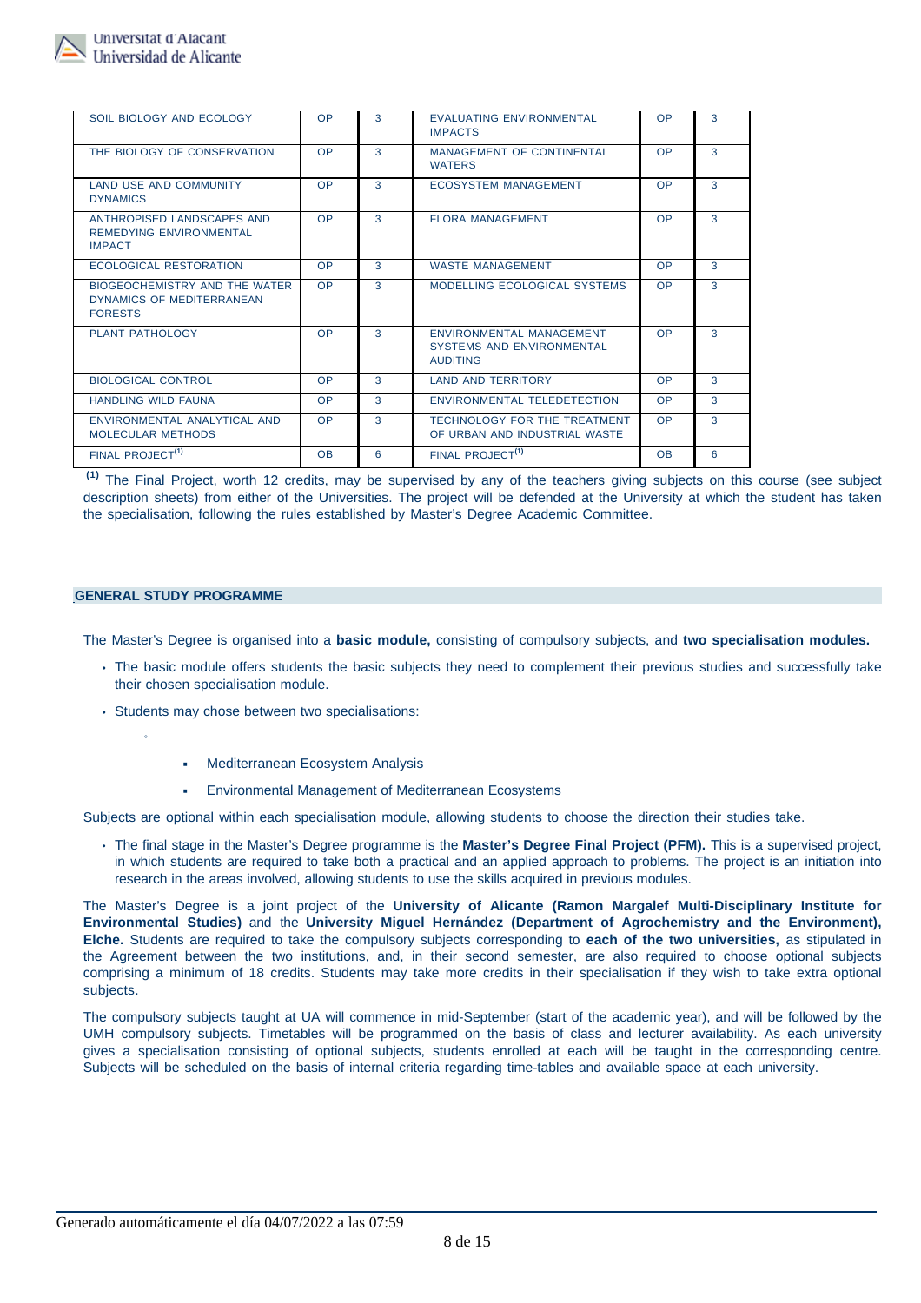

| SOIL BIOLOGY AND ECOLOGY                                                      | <b>OP</b> | 3            | <b>EVALUATING ENVIRONMENTAL</b><br><b>IMPACTS</b>                        | <b>OP</b> | 3 |
|-------------------------------------------------------------------------------|-----------|--------------|--------------------------------------------------------------------------|-----------|---|
| THE BIOLOGY OF CONSERVATION                                                   | OP        | 3            | MANAGEMENT OF CONTINENTAL<br><b>WATERS</b>                               | <b>OP</b> | 3 |
| <b>LAND USE AND COMMUNITY</b><br><b>DYNAMICS</b>                              | OP        | $\mathbf{3}$ | <b>ECOSYSTEM MANAGEMENT</b>                                              | <b>OP</b> | 3 |
| ANTHROPISED LANDSCAPES AND<br><b>REMEDYING ENVIRONMENTAL</b><br><b>IMPACT</b> | OP        | 3            | <b>FLORA MANAGEMENT</b>                                                  | <b>OP</b> | 3 |
| ECOLOGICAL RESTORATION                                                        | OP        | 3            | <b>WASTE MANAGEMENT</b>                                                  | <b>OP</b> | 3 |
| BIOGEOCHEMISTRY AND THE WATER<br>DYNAMICS OF MEDITERRANEAN<br><b>FORESTS</b>  | OP        | 3            | MODELLING ECOLOGICAL SYSTEMS                                             | OP        | 3 |
| PLANT PATHOLOGY                                                               | OP        | $\mathbf{3}$ | ENVIRONMENTAL MANAGEMENT<br>SYSTEMS AND ENVIRONMENTAL<br><b>AUDITING</b> | <b>OP</b> | 3 |
| <b>BIOLOGICAL CONTROL</b>                                                     | OP        | 3            | <b>LAND AND TERRITORY</b>                                                | <b>OP</b> | 3 |
| <b>HANDLING WILD FAUNA</b>                                                    | OP        | 3            | ENVIRONMENTAL TELEDETECTION                                              | OP        | 3 |
| ENVIRONMENTAL ANALYTICAL AND<br><b>MOLECULAR METHODS</b>                      | OP        | $\mathbf{3}$ | <b>TECHNOLOGY FOR THE TREATMENT</b><br>OF URBAN AND INDUSTRIAL WASTE     | <b>OP</b> | 3 |
| FINAL PROJECT <sup>(1)</sup>                                                  | <b>OB</b> | 6            | FINAL PROJECT <sup>(1)</sup>                                             | <b>OB</b> | 6 |

 **(1)** The Final Project, worth 12 credits, may be supervised by any of the teachers giving subjects on this course (see subject description sheets) from either of the Universities. The project will be defended at the University at which the student has taken the specialisation, following the rules established by Master's Degree Academic Committee.

# **GENERAL STUDY PROGRAMME**

The Master's Degree is organised into a **basic module,** consisting of compulsory subjects, and **two specialisation modules.**

- The basic module offers students the basic subjects they need to complement their previous studies and successfully take their chosen specialisation module.
- Students may chose between two specialisations:
- ◦
- Mediterranean Ecosystem Analysis
- Environmental Management of Mediterranean Ecosystems

Subjects are optional within each specialisation module, allowing students to choose the direction their studies take.

• The final stage in the Master's Degree programme is the **Master's Degree Final Project (PFM).** This is a supervised project, in which students are required to take both a practical and an applied approach to problems. The project is an initiation into research in the areas involved, allowing students to use the skills acquired in previous modules.

The Master's Degree is a joint project of the **University of Alicante (Ramon Margalef Multi-Disciplinary Institute for Environmental Studies)** and the **University Miguel Hernández (Department of Agrochemistry and the Environment), Elche.** Students are required to take the compulsory subjects corresponding to **each of the two universities,** as stipulated in the Agreement between the two institutions, and, in their second semester, are also required to choose optional subjects comprising a minimum of 18 credits. Students may take more credits in their specialisation if they wish to take extra optional subjects.

The compulsory subjects taught at UA will commence in mid-September (start of the academic year), and will be followed by the UMH compulsory subjects. Timetables will be programmed on the basis of class and lecturer availability. As each university gives a specialisation consisting of optional subjects, students enrolled at each will be taught in the corresponding centre. Subjects will be scheduled on the basis of internal criteria regarding time-tables and available space at each university.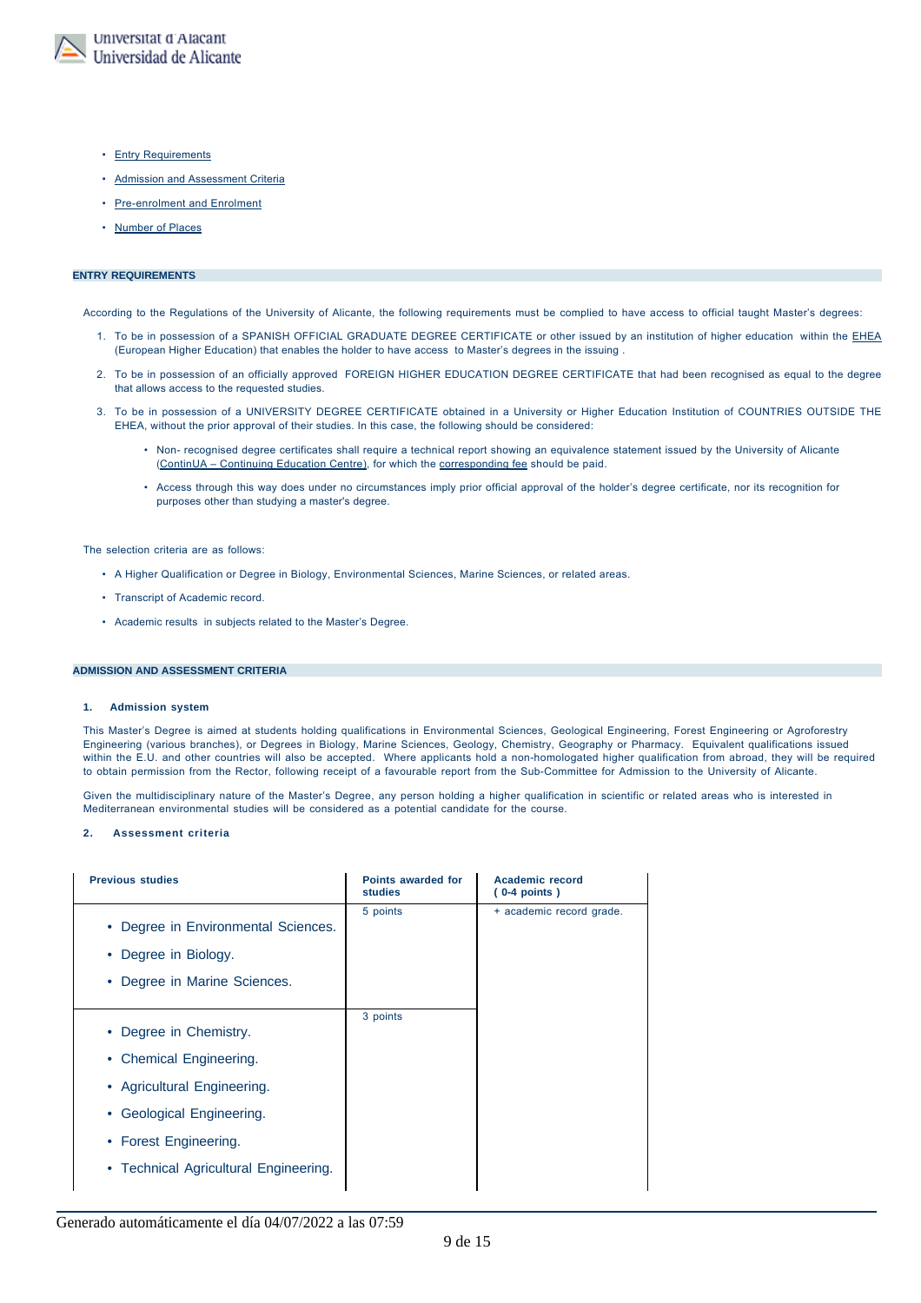

- **[Entry Requirements](file://babel/dvirtual/Aulas/Traduccion/SERVICIOS/EN%20CURSO/2011/INTERNOS/Gerencia%20UA/D031/texto_repitido_2[1]_trad_draft.doc)**
- [Admission and Assessment Criteria](https://cvnet.cpd.ua.es/webcvnet/PlanEstudio/traducirEstudioInfo.aspx?pidSolapa=11221#2)
- [Pre-enrolment and Enrolment](https://cvnet.cpd.ua.es/webcvnet/PlanEstudio/traducirEstudioInfo.aspx?pidSolapa=11221#3)
- [Number of Places](https://cvnet.cpd.ua.es/webcvnet/PlanEstudio/planestudioPDF.aspx?plan=D033&caca=2021-22&lengua=E#4)

## **ENTRY REQUIREMENTS**

According to the Regulations of the University of Alicante, the following requirements must be complied to have access to official taught Master's degrees:

- 1. To be in possession of a SPANISH OFFICIAL GRADUATE DEGREE CERTIFICATE or other issued by an institution of higher education within the [EHEA](http://economicas.ua.es/es/documentos/varios/paises-eees.pdf) (European Higher Education) that enables the holder to have access to Master's degrees in the issuing .
- 2. To be in possession of an officially approved FOREIGN HIGHER EDUCATION DEGREE CERTIFICATE that had been recognised as equal to the degree that allows access to the requested studies.
- 3. To be in possession of a UNIVERSITY DEGREE CERTIFICATE obtained in a University or Higher Education Institution of COUNTRIES OUTSIDE THE EHEA, without the prior approval of their studies. In this case, the following should be considered:
	- Non- recognised degree certificates shall require a technical report showing an equivalence statement issued by the University of Alicante [\(ContinUA – Continuing Education Centre\)](http://web.ua.es/en/continua/continuous.html), for which the [corresponding fee](http://web.ua.es/en/oia/access-pre-registration-and-registration/matricula/university-fees.html#evaluacion) should be paid.
	- Access through this way does under no circumstances imply prior official approval of the holder's degree certificate, nor its recognition for purposes other than studying a master's degree.

The selection criteria are as follows:

- A Higher Qualification or Degree in Biology, Environmental Sciences, Marine Sciences, or related areas.
- Transcript of Academic record.
- Academic results in subjects related to the Master's Degree.

#### **ADMISSION AND ASSESSMENT CRITERIA**

#### **1. Admission system**

This Master's Degree is aimed at students holding qualifications in Environmental Sciences, Geological Engineering, Forest Engineering or Agroforestry Engineering (various branches), or Degrees in Biology, Marine Sciences, Geology, Chemistry, Geography or Pharmacy. Equivalent qualifications issued within the E.U. and other countries will also be accepted. Where applicants hold a non-homologated higher qualification from abroad, they will be required to obtain permission from the Rector, following receipt of a favourable report from the Sub-Committee for Admission to the University of Alicante.

Given the multidisciplinary nature of the Master's Degree, any person holding a higher qualification in scientific or related areas who is interested in Mediterranean environmental studies will be considered as a potential candidate for the course.

#### **2. Assessment criteria**

| <b>Previous studies</b>                                                                                      | Points awarded for<br><b>studies</b> | <b>Academic record</b><br>$(0-4 points)$ |
|--------------------------------------------------------------------------------------------------------------|--------------------------------------|------------------------------------------|
| Degree in Environmental Sciences.<br>$\bullet$<br>Degree in Biology.<br>۰<br>Degree in Marine Sciences.<br>٠ | 5 points                             | + academic record grade.                 |
|                                                                                                              |                                      |                                          |
| • Degree in Chemistry.                                                                                       | 3 points                             |                                          |
| • Chemical Engineering.                                                                                      |                                      |                                          |
| • Agricultural Engineering.                                                                                  |                                      |                                          |
| • Geological Engineering.                                                                                    |                                      |                                          |
| • Forest Engineering.                                                                                        |                                      |                                          |
| • Technical Agricultural Engineering.                                                                        |                                      |                                          |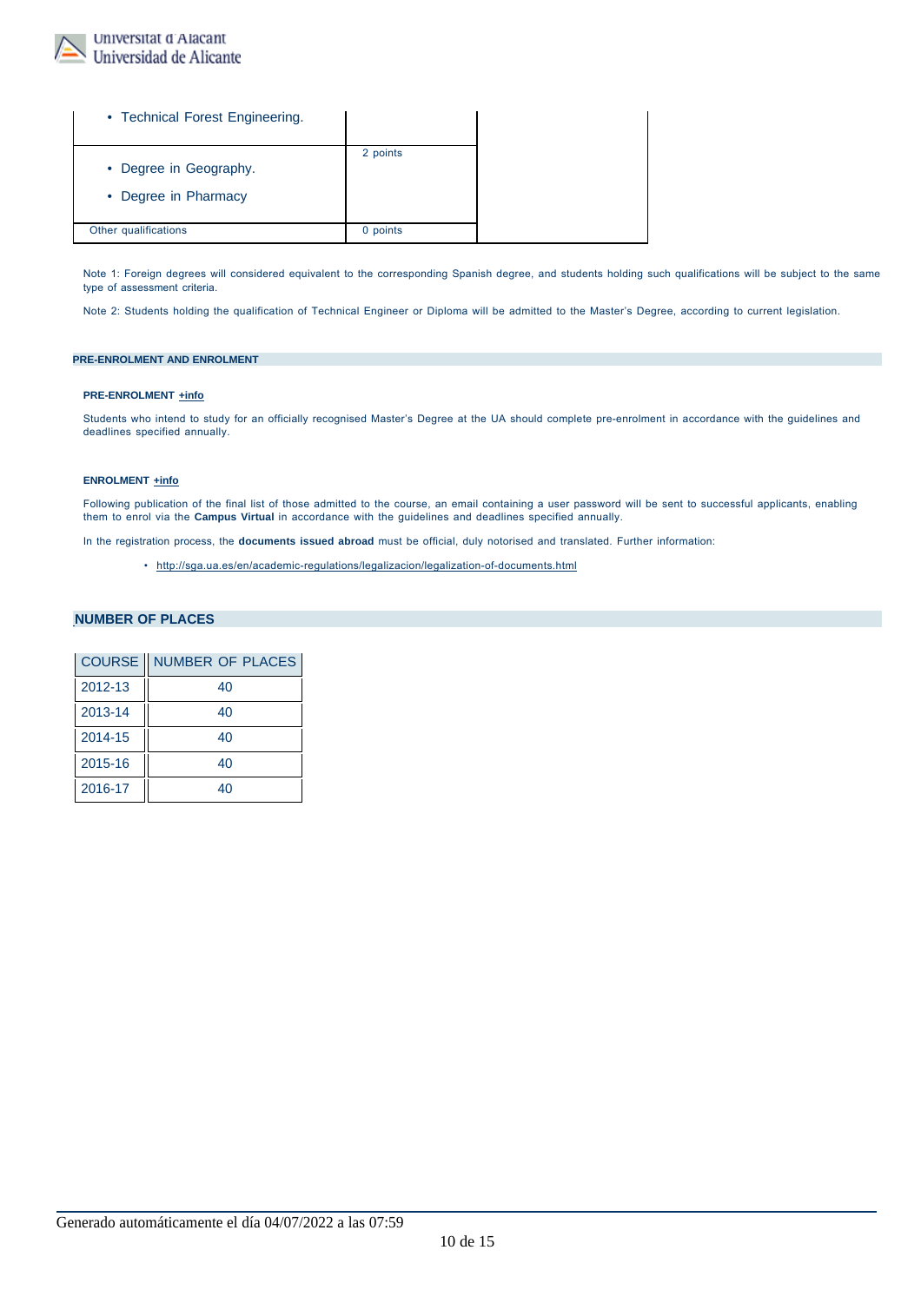

| • Technical Forest Engineering.                |          |  |
|------------------------------------------------|----------|--|
| • Degree in Geography.<br>• Degree in Pharmacy | 2 points |  |
| Other qualifications                           | 0 points |  |

Note 1: Foreign degrees will considered equivalent to the corresponding Spanish degree, and students holding such qualifications will be subject to the same type of assessment criteria.

Note 2: Students holding the qualification of Technical Engineer or Diploma will be admitted to the Master's Degree, according to current legislation.

#### **PRE-ENROLMENT AND ENROLMENT**

#### **PRE-ENROLMENT [+info](http://web.ua.es/en/continua/pre-registration.html)**

Students who intend to study for an officially recognised Master's Degree at the UA should complete pre-enrolment in accordance with the guidelines and deadlines specified annually.

## **ENROLMENT [+info](http://web.ua.es/en/continua/registration.html)**

Following publication of the final list of those admitted to the course, an email containing a user password will be sent to successful applicants, enabling them to enrol via the **Campus Virtual** in accordance with the guidelines and deadlines specified annually.

In the registration process, the **documents issued abroad** must be official, duly notorised and translated. Further information:

• <http://sga.ua.es/en/academic-regulations/legalizacion/legalization-of-documents.html>

# **NUMBER OF PLACES**

|         | COURSE   NUMBER OF PLACES |
|---------|---------------------------|
| 2012-13 | 40                        |
| 2013-14 | 40                        |
| 2014-15 | 40                        |
| 2015-16 | 40                        |
| 2016-17 | 40                        |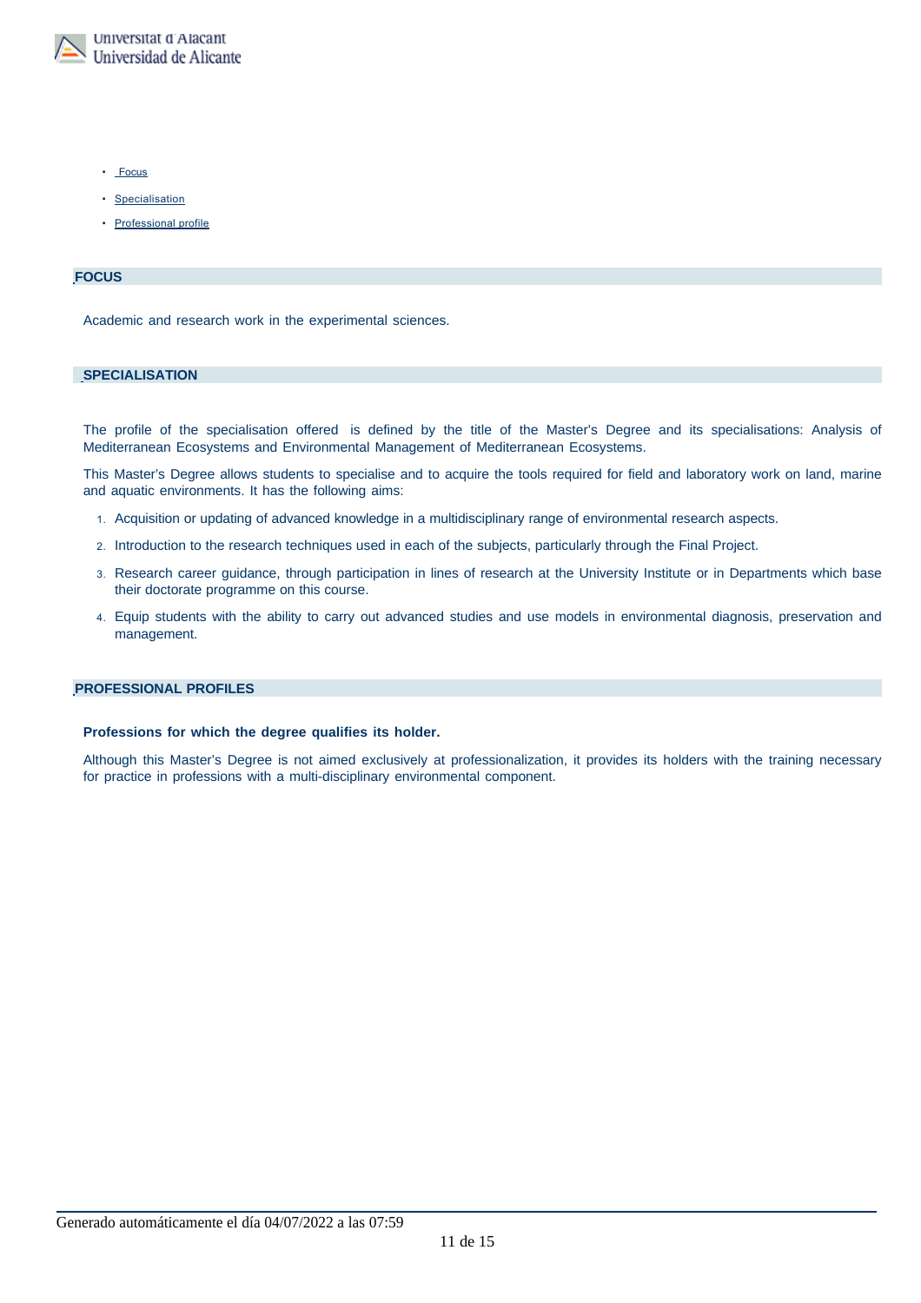

- [Focus](https://cvnet.cpd.ua.es/webcvnet/PlanEstudio/planestudioPDF.aspx?plan=D033&caca=2021-22&lengua=E#1)
- [Specialisation](https://cvnet.cpd.ua.es/webcvnet/PlanEstudio/planestudioPDF.aspx?plan=D033&caca=2021-22&lengua=E#2)
- [Professional profile](https://cvnet.cpd.ua.es/webcvnet/PlanEstudio/planestudioPDF.aspx?plan=D033&caca=2021-22&lengua=E#3)

# **FOCUS**

Academic and research work in the experimental sciences.

# **SPECIALISATION**

The profile of the specialisation offered is defined by the title of the Master's Degree and its specialisations: Analysis of Mediterranean Ecosystems and Environmental Management of Mediterranean Ecosystems.

This Master's Degree allows students to specialise and to acquire the tools required for field and laboratory work on land, marine and aquatic environments. It has the following aims:

- 1. Acquisition or updating of advanced knowledge in a multidisciplinary range of environmental research aspects.
- 2. Introduction to the research techniques used in each of the subjects, particularly through the Final Project.
- 3. Research career guidance, through participation in lines of research at the University Institute or in Departments which base their doctorate programme on this course.
- 4. Equip students with the ability to carry out advanced studies and use models in environmental diagnosis, preservation and management.

# **PROFESSIONAL PROFILES**

#### **Professions for which the degree qualifies its holder.**

Although this Master's Degree is not aimed exclusively at professionalization, it provides its holders with the training necessary for practice in professions with a multi-disciplinary environmental component.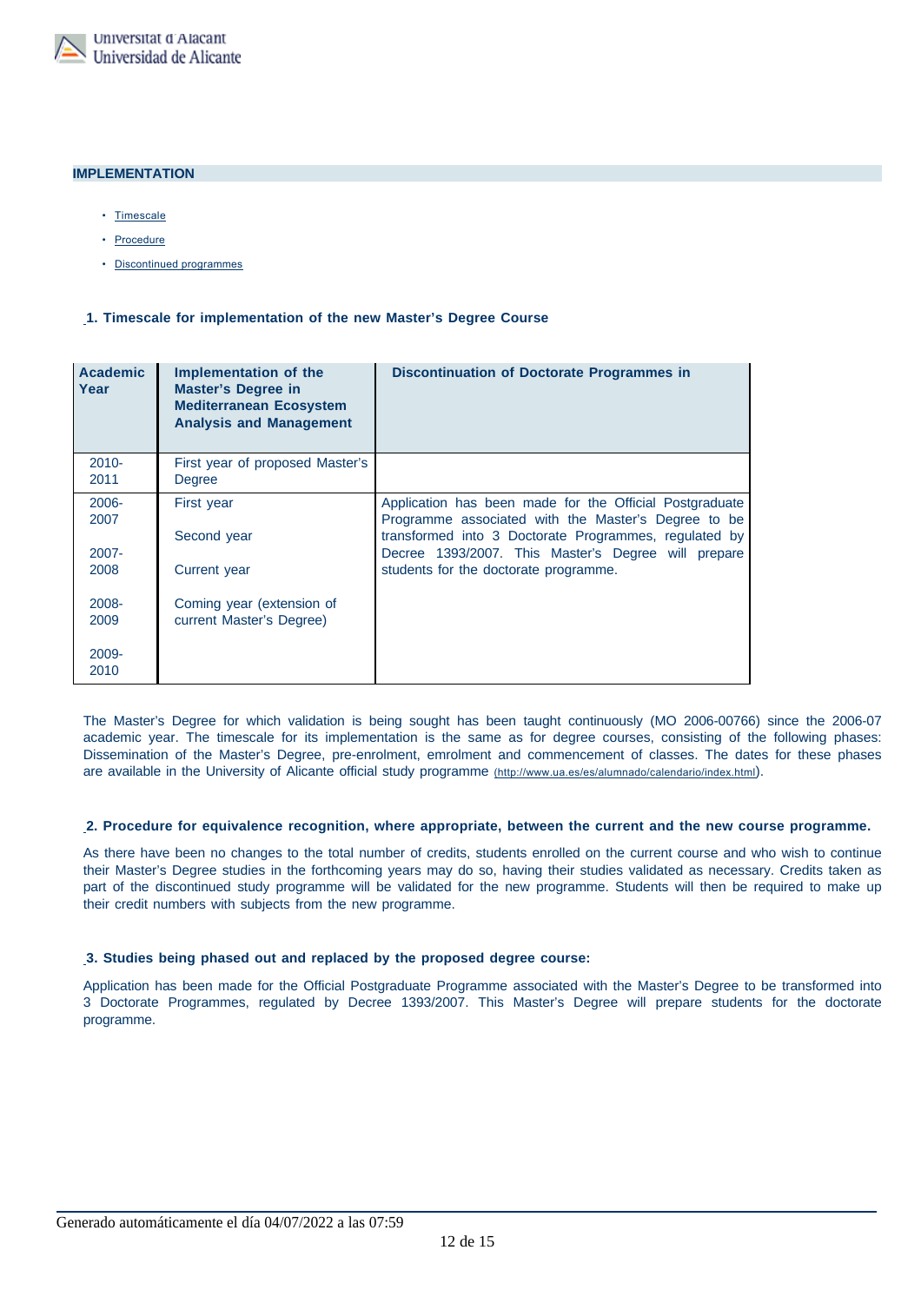

# **IMPLEMENTATION**

- [Timescale](https://cvnet.cpd.ua.es/webcvnet/PlanEstudio/planestudioPDF.aspx?plan=D033&caca=2021-22&lengua=E#1)
- [Procedure](https://cvnet.cpd.ua.es/webcvnet/PlanEstudio/planestudioPDF.aspx?plan=D033&caca=2021-22&lengua=E#2)
- [Discontinued programmes](https://cvnet.cpd.ua.es/webcvnet/PlanEstudio/planestudioPDF.aspx?plan=D033&caca=2021-22&lengua=E#3)

## **1. Timescale for implementation of the new Master's Degree Course**

| <b>Academic</b><br>Year           | Implementation of the<br><b>Master's Degree in</b><br><b>Mediterranean Ecosystem</b><br><b>Analysis and Management</b> | <b>Discontinuation of Doctorate Programmes in</b>                                                                                                                                                                                                                       |
|-----------------------------------|------------------------------------------------------------------------------------------------------------------------|-------------------------------------------------------------------------------------------------------------------------------------------------------------------------------------------------------------------------------------------------------------------------|
| $2010 -$<br>2011                  | First year of proposed Master's<br>Degree                                                                              |                                                                                                                                                                                                                                                                         |
| 2006-<br>2007<br>$2007 -$<br>2008 | First year<br>Second year<br>Current year                                                                              | Application has been made for the Official Postgraduate<br>Programme associated with the Master's Degree to be<br>transformed into 3 Doctorate Programmes, regulated by<br>Decree 1393/2007. This Master's Degree will prepare<br>students for the doctorate programme. |
| 2008-<br>2009                     | Coming year (extension of<br>current Master's Degree)                                                                  |                                                                                                                                                                                                                                                                         |
| 2009-<br>2010                     |                                                                                                                        |                                                                                                                                                                                                                                                                         |

The Master's Degree for which validation is being sought has been taught continuously (MO 2006-00766) since the 2006-07 academic year. The timescale for its implementation is the same as for degree courses, consisting of the following phases: Dissemination of the Master's Degree, pre-enrolment, emrolment and commencement of classes. The dates for these phases are available in the University of Alicante official study programme [\(http://www.ua.es/es/alumnado/calendario/index.html](http://www.ua.es/es/alumnado/calendario/index.html)).

## **2. Procedure for equivalence recognition, where appropriate, between the current and the new course programme.**

As there have been no changes to the total number of credits, students enrolled on the current course and who wish to continue their Master's Degree studies in the forthcoming years may do so, having their studies validated as necessary. Credits taken as part of the discontinued study programme will be validated for the new programme. Students will then be required to make up their credit numbers with subjects from the new programme.

# **3. Studies being phased out and replaced by the proposed degree course:**

Application has been made for the Official Postgraduate Programme associated with the Master's Degree to be transformed into 3 Doctorate Programmes, regulated by Decree 1393/2007. This Master's Degree will prepare students for the doctorate programme.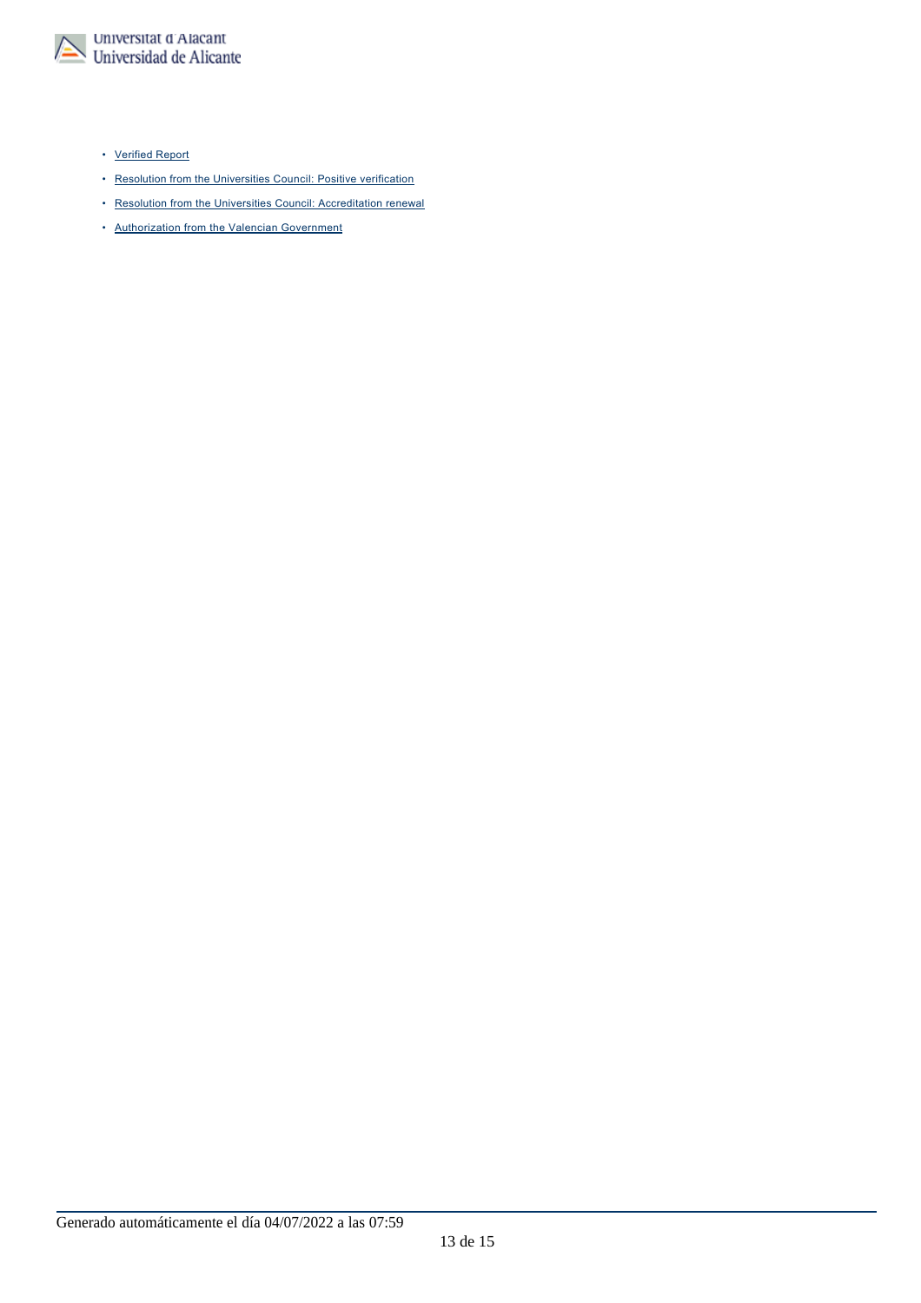

- [Verified Report](http://utc.ua.es/en/documentos/sgic/sgic-sciences/master-s-programmes/verified-report/d033-verified-report.pdf)
- [Resolution from the Universities Council: Positive verification](http://utc.ua.es/en/documentos/sgic/sgic-sciences/master-s-programmes/verified-report/d033-resolution-cu.pdf)
- [Resolution from the Universities Council: Accreditation renewal](https://utc.ua.es/en/documentos/sgic/sgic-sciences/master-s-programmes/cu02-renovacion-acreditacion/d033-renewal-accreditation.pdf)
- [Authorization from the Valencian Government](http://utc.ua.es/en/documentos/sgic/sgic-sciences/master-s-programmes/verified-report/d033-authorization-gv.pdf)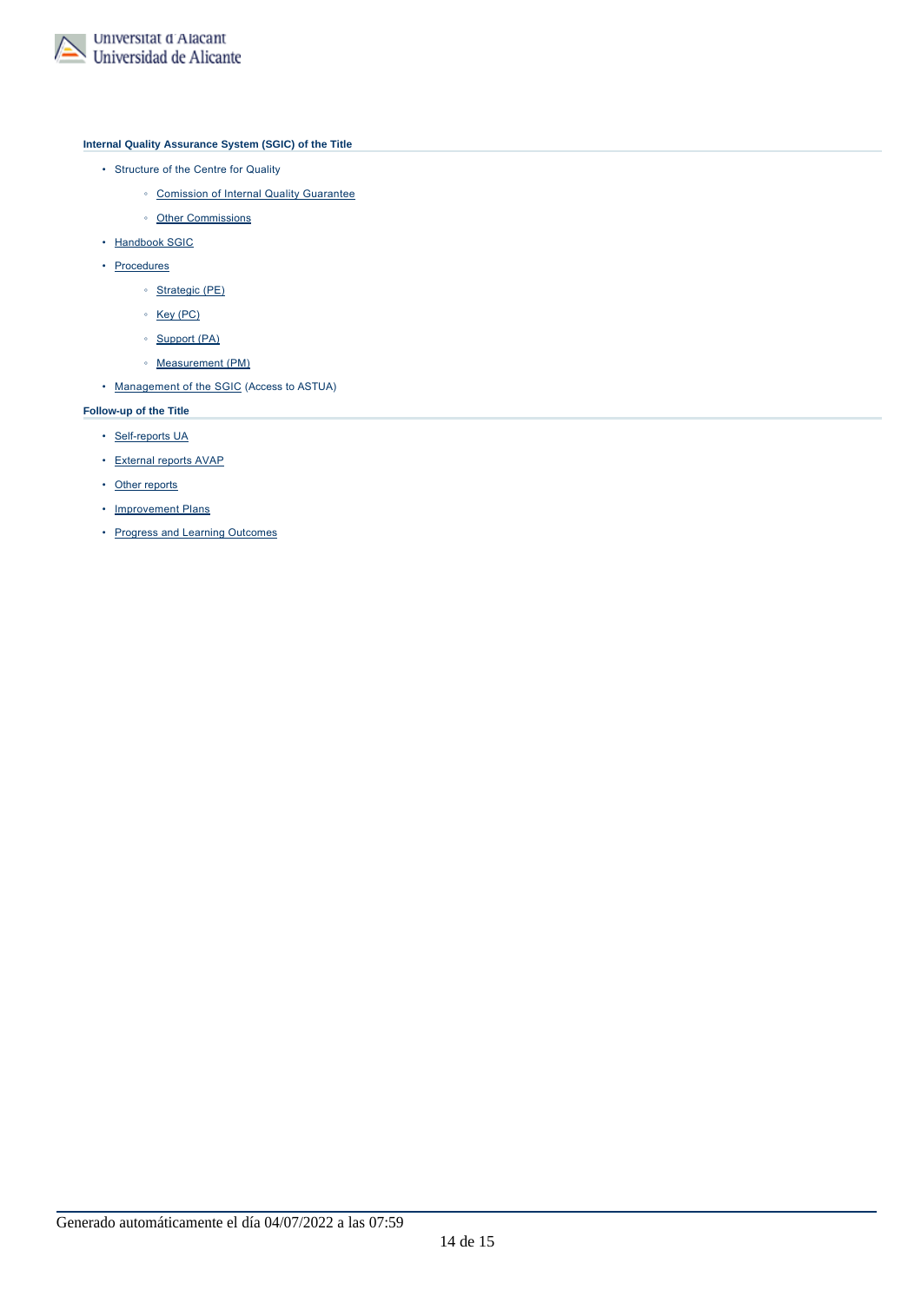

## **Internal Quality Assurance System (SGIC) of the Title**

- Structure of the Centre for Quality
	- [Comission of Internal Quality Guarantee](https://ciencias.ua.es/es/organizacion/comision-de-garantia-interna-de-calidad-de-la-facultad-de-ciencias.html)
	- [Other Commissions](http://utc.ua.es/en/programs-quality/audit/science/other-committees.html)
- [Handbook SGIC](http://utc.ua.es/en/programs-quality/audit/science/handbook-sgic-faculty-sciences.html)
- [Procedures](http://utc.ua.es/en/programs-quality/audit/science/procedures-sgic-faculty-sciences.html)
	- [Strategic \(PE\)](http://utc.ua.es/en/programs-quality/audit/science/strategic-processes-sgic-faculty-sciences.html)
	- [Key \(PC\)](http://utc.ua.es/en/programs-quality/audit/science/processes-key-sgic-faculty-sciences.html)
	- [Support \(PA\)](http://utc.ua.es/en/programs-quality/audit/science/support-processes-sgic-faculty-sciences.html)
	- [Measurement \(PM\)](http://utc.ua.es/en/programs-quality/audit/science/measurement-processes-sgic-faculty-sciences.html)
- [Management of the SGIC](http://cvnet3.cpd.ua.es/Astua/Account/LogOn?ReturnUrl=/Astua/) (Access to ASTUA)

#### **Follow-up of the Title**

- [Self-reports UA](http://utc.ua.es/en/programs-quality/audit/science/master-s-programmes/analysis-and-management-of-mediterranean-ecosystems/analysis-and-management-of-mediterranean-ecosystems-self-reporting-ua.html)
- [External reports AVAP](http://utc.ua.es/en/programs-quality/audit/science/master-s-programmes/analysis-and-management-of-mediterranean-ecosystems/analysis-and-management-of-mediterranean-ecosystems-avap-external-reports.html)
- [Other reports](http://utc.ua.es/en/programs-quality/audit/science/master-s-programmes/analysis-and-management-of-mediterranean-ecosystems/analysis-and-management-of-mediterranean-ecosystems-other-reports.html)
- [Improvement Plans](http://utc.ua.es/en/programs-quality/audit/science/master-s-programmes/analysis-and-management-of-mediterranean-ecosystems/analysis-and-management-of-mediterranean-ecosystems-improvement-plans.html)
- [Progress and Learning Outcomes](http://utc.ua.es/en/programs-quality/audit/progreso-y-resultado-del-aprendizaje.html)